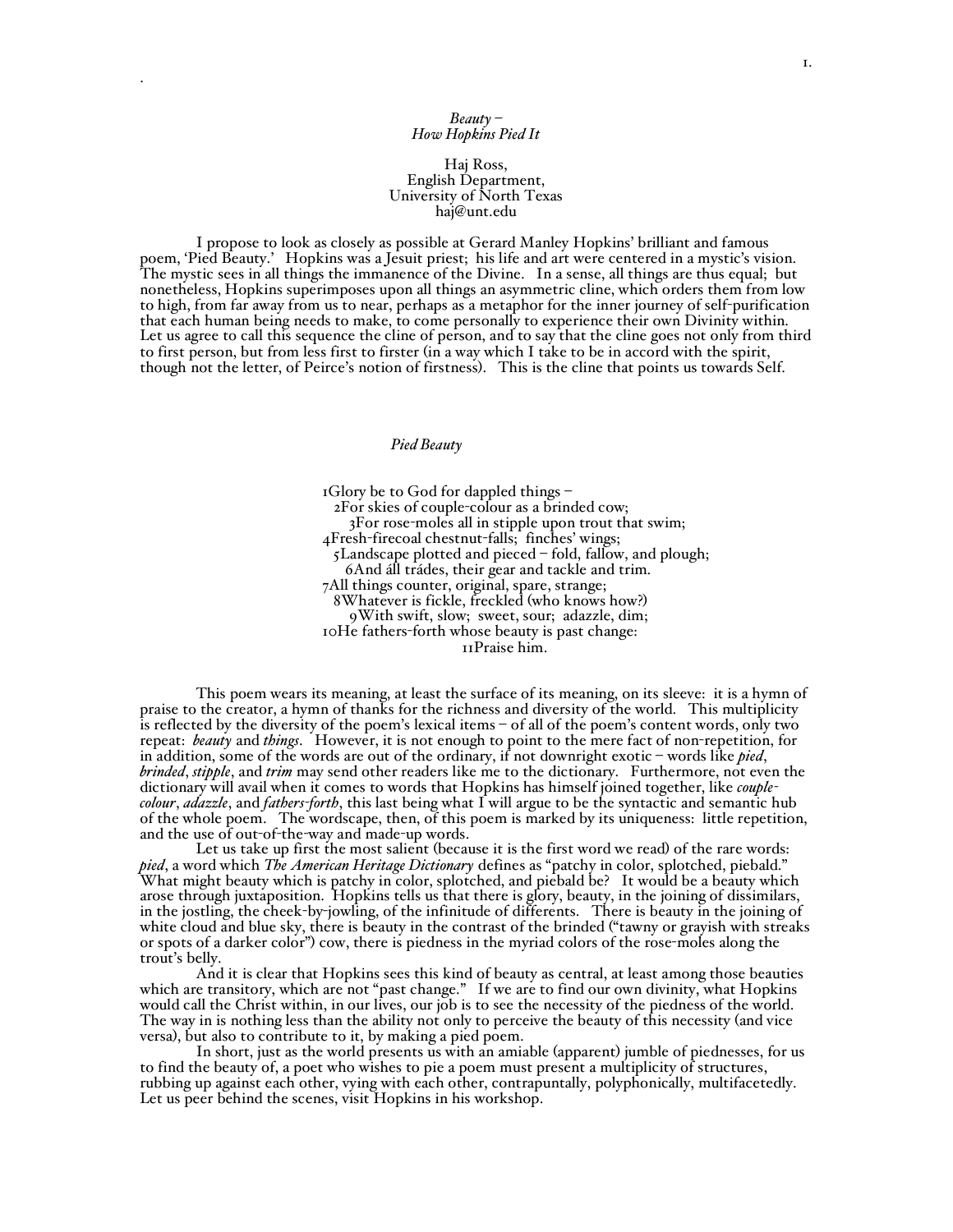.

## Haj Ross,<br>English Department, University of North Texas haj@unt.edu

I propose to look as closely as possible at Gerard Manley Hopkins' brilliant and famous poem, 'Pied Beauty.' Hopkins was a Jesuit priest; his life and art were centered in a mystic's vision.<br>The mystic sees in all things the immanence of the Divine. In a sense, all things are thus equal; but nonetheless, Hopkins superimposes upon all things an asymmetric cline, which orders them from low to high, from far away from us to near, perhaps as a metaphor for the inner journey of self-purification Let us agree to call this sequence the cline of person, and to say that the cline goes not only from third. to first person, but from less first to firster (in a way which I take to be in accord with the spirit, though not the letter, of Peirce's notion of firstness). This is the cline that points us towards Self.

## *Pied Beauty*

1Glory be to God for dappled things – 2For skies of couple-colour as a brinded cow; 3For rose-moles all in stipple upon trout that swim; 4Fresh-firecoal chestnut-falls; finches' wings; 5Landscape plotted and pieced – fold, fallow, and plough; 6And áll trádes, their gear and tackle and trim. 7All things counter, original, spare, strange; 8Whatever is fickle, freckled (who knows how?) 9With swift, slow; sweet, sour; adazzle, dim; 10He fathers-forth whose beauty is past change: 11Praise him.

This poem wears its meaning, at least the surface of its meaning, on its sleeve: it is a hymn of praise to the creator, a hymn of thanks for the richness and diversity of the world. This multiplicity is reflected by the diversity of the poem's lexical items – of all of the poem's content words, only two repeat: *beauty* and *things*. However, it is not enough to point to the mere fact of non-repetition, for in addition, some of the words are out of the ordinary, if not downright exotic – words like *pied*, *brinded*, *stipple*, and *trim* may send other readers like me to the dictionary. Furthermore, not even the dictionary will avail when it comes to words that Hopkins has himself joined together, like *couplecolour*, *adazzle*, and *fathers-forth*, this last being what I will argue to be the syntactic and semantic hub of the whole poem. The wordscape, then, of this poem is marked by its uniqueness: little repetition,

Let us take up first the most salient (because it is the first word we read) of the rare words: *pied*, a word which *The American Heritage Dictionary* defines as "patchy in color, splotched, piebald." What might beauty which is patchy in color, splotched, and piebald be? It would be a beauty which arose through juxtaposition. Hopkins tells us that there is glory, beauty, in the joining of dissimilars, in the jostling, the cheek-by-jowling, of the infinitude of differents. There is beauty in the joining of white cloud and blue sky, there is beauty in the contrast of the brinded ("tawny or grayish with streaks or spots of a darker color") cow, there is piedness in the myriad colors of the rose-moles along the trout's belly.

And it is clear that Hopkins sees this kind of beauty as central, at least among those beauties which are transitory, which are not "past change." If we are to find our own divinity, what Hopkins would call the Christ within, in our lives, our job is to see the necessity of the piedness of the world. The way in is nothing less than the ability not only to perceive the beauty of this necessity (and vice versa), but also to contribute to it, by making a pied poem.

In short, just as the world presents us with an amiable (apparent) jumble of piednesses, for us to find the beauty of, a poet who wishes to pie a poem must present a multiplicity of structures, rubbing up against each other, vying with each other, contrapuntally, polyphonically, multifacetedly. Let us peer behind the scenes, visit Hopkins in his workshop.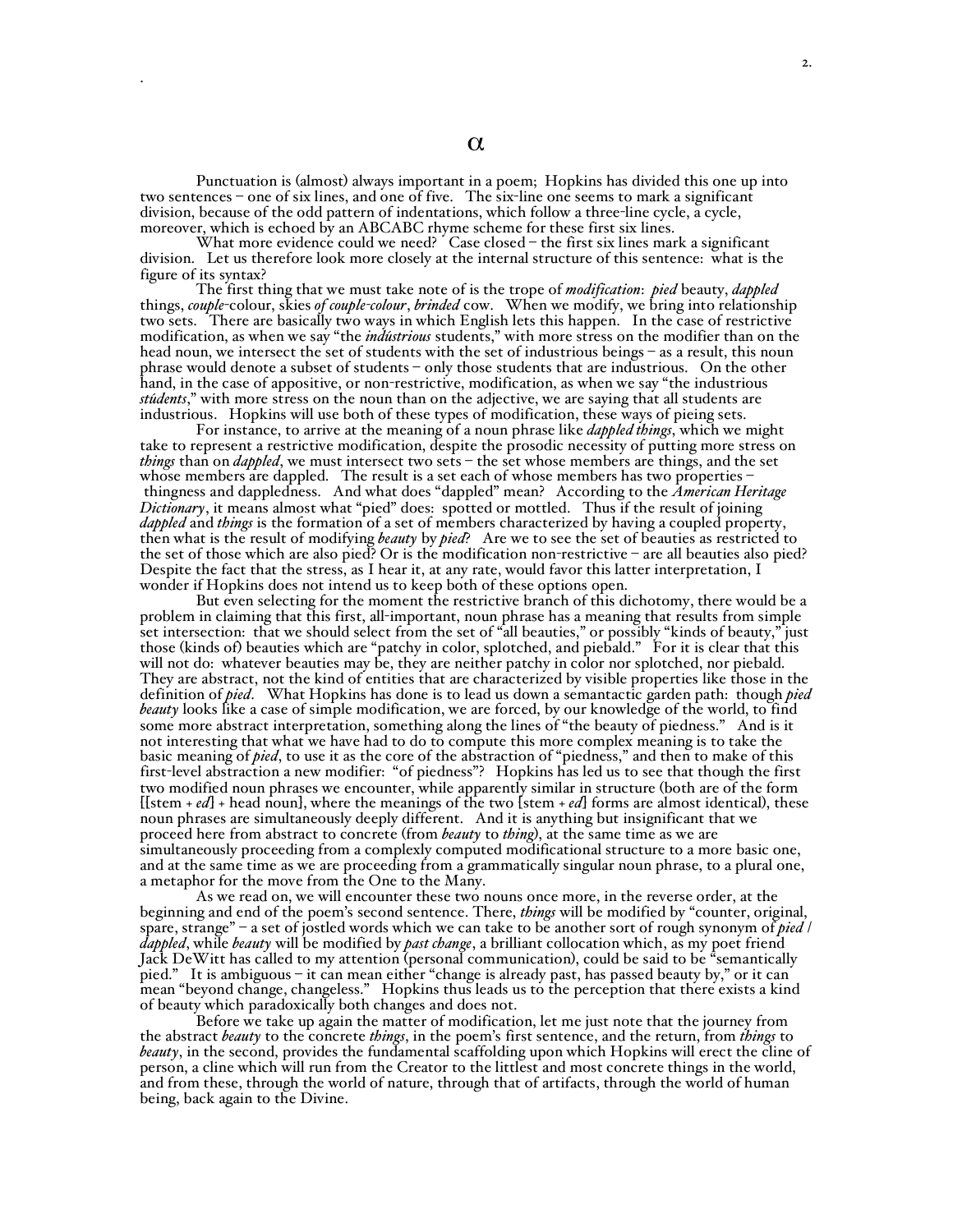Punctuation is (almost) always important in a poem; Hopkins has divided this one up into two sentences – one of six lines, and one of five. The six-line one seems to mark a significant division, because of the odd pattern of indentations, which follow a three-line cycle, a cycle, moreover, which is echoed by an ABCABC rhyme scheme for these first six lines.

.

What more evidence could we need? Case closed – the first six lines mark a significant division. Let us therefore look more closely at the internal structure of this sentence: what is the figure of its syntax?

The first thing that we must take note of is the trope of *modification*: *pied* beauty, *dappled* things, *couple*-colour, skies *of couple-colour*, *brinded* cow. When we modify, we bring into relationship two sets. There are basically two ways in which English lets this happen. In the case of restrictive modification, as when we say "the *indústrious* students," with more stress on the modifier than on the head noun, we intersect the set of students with the set of industrious beings – as a result, this noun<br>phrase would denote a subset of students – only those students that are industrious. On the other hand, in the case of appositive, or non-restrictive, modification, as when we say "the industrious *stúdents*," with more stress on the noun than on the adjective, we are saying that all students are industrious. Hopkins will use both of these types of modification, these ways of pieing sets.

For instance, to arrive at the meaning of a noun phrase like *dappled things*, which we might take to represent a restrictive modification, despite the prosodic necessity of putting more stress on *things* than on *dappled*, we must intersect two sets – the set whose members are things, and the set whose members are dappled. The result is <sup>a</sup> set each of whose members has two properties – thingness and dappledness. And what does "dappled" mean? According to the *American Heritage Dictionary*, it means almost what "pied" does: spotted or mottled. Thus if the result of joining *dappled* and *things* is the formation of a set of members characterized by having a coupled property, then what is the result of modifying *beauty* by *pied*? Are we to see the set of beauties as restricted to the set of those which are also pied? Or is the modification non-restrictive – are all beauties also pied? Despite the fact that the stress, as I hear it, at any rate, would favor this latter interpretation, I wonder if Hopkins does not intend us to keep both of these options open.

But even selecting for the moment the restrictive branch of this dichotomy, there would be a problem in claiming that this first, all-important, noun phrase has a meaning that results from simple set intersection: that we should select from the set of "all beauties," or possibly "kinds of beauty," just those (kinds of) beauties which are "patchy in color, splotched, and piebald." For it is clear that this will not do: whatever beauties may be, they are neither patchy in color nor splotched, nor piebald. They are abstract, not the kind of entities that are characterized by visible properties like those in the definition of *pied*. What Hopkins has done is to lead us down a semantactic garden path: though *pied beauty* looks like a case of simple modification, we are forced, by our knowledge of the world, to find some more abstract interpretation, something along the lines of "the beauty of piedness." And is it not interesting that what we have had to do to compute this more complex meaning is to take the basic meaning of *pied*, to use it as the core of the abstraction of "piedness," and then to make of this first-level abstraction a new modifier: "of piedness"? Hopkins has led us to see that though the first  ${\text{[Item + } ed\text{]} + head noun},$  where the meanings of the two  ${\text{[stem + } ed\text{]} }$  forms are almost identical), these noun phrases are simultaneously deeply different. And it is anything but insignificant that we proceed here from abstract to concrete (from *beauty* to *thing*), at the same time as we are simultaneously proceeding from a complexly computed modificational structure to a more basic one, and at the same time as we are proceeding from a grammatically singular noun phrase, to a plural one, a metaphor for the move from the One to the Many.

As we read on, we will encounter these two nouns once more, in the reverse order, at the beginning and end of the poem's second sentence. There, *things* will be modified by "counter, original, spare, strange" – a set of jostled words which we can take to be another sort of rough synonym of *pied* / *dappled*, while *beauty* will be modified by *past change*, a brilliant collocation which, as my poet friend Jack DeWitt has called to my attention (personal communication), could be said to be <sup>a</sup>semantically pied." It is ambiguous – it can mean either "change is already past, has passed beauty by," or it can mean "beyond change, changeless." Hopkins thus leads us to the perception that there exists a kind of beauty which paradoxically both changes and does not.

Before we take up again the matter of modification, let me just note that the journey from the abstract *beauty* to the concrete *things*, in the poem's first sentence, and the return, from *things* to *beauty*, in the second, provides the fundamental scaffolding upon which Hopkins will erect the cline of person, a cline which will run from the Creator to the littlest and most concrete things in the world, and from these, through the world of nature, through that of artifacts, through the world of human being, back again to the Divine.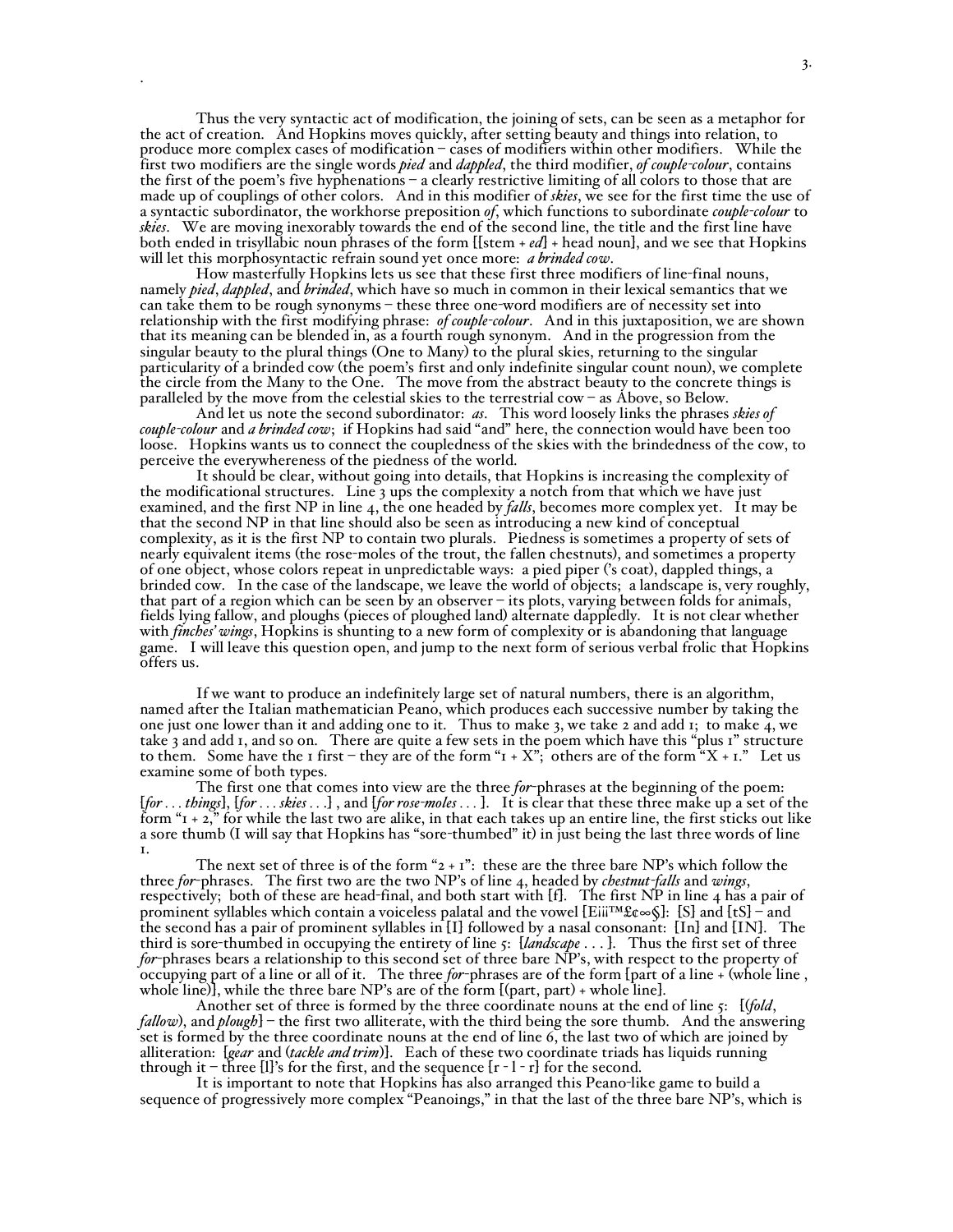Thus the very syntactic act of modification, the joining of sets, can be seen as a metaphor for the act of creation. And Hopkins moves quickly, after setting beauty and things into relation, to produce more complex cases of modification – cases of modifiers within other modifiers. While the first two modifiers are the single words *pied* and *dappled*, the third modifier, *of couple-colour*, contains made up of couplings of other colors. And in this modifier of *skies*, we see for the first time the use of a syntactic subordinator, the workhorse preposition *of*, which functions to subordinate *couple-colour* to *skies*. We are moving inexorably towards the end of the second line, the title and the first line have both ended in trisyllabic noun phrases of the form [[stem + *ed*] + head noun], and we see that Hopkins will let this morphosyntactic refrain sound yet once more: *a brinded cow*.

.

namely pied, dappled, and brinded, which have so much in common in their lexical semantics that we can take them to be rough synonyms – these three one-word modifiers are of necessity set into<br>relationship with the first modifying phrase: *of couple-colour*. And in this juxtaposition, we are shown that its meaning can be blended in, as a fourth rough synonym. And in the progression from the singular beauty to the plural things (One to Many) to the plural skies, returning to the singular particularity of a brinded cow (the poem's first and only indefinite singular count noun), we complete the circle from the Many to the One. The move from the abstract beauty to the concrete things is paralleled by the move from the celestial skies to the terrestrial cow – as Above, so Below.

And let us note the second subordinator: *as*. This word loosely links the phrases *skies of couple-colour* and *a brinded cow*; if Hopkins had said "and" here, the connection would have been too loose. Hopkins wants us to connect the coupledness of the skies with the brindedness of the cow, to perceive the everywhereness of the piedness of the world.

It should be clear, without going into details, that Hopkins is increasing the complexity of the modificational structures. Line 3 ups the complexity a notch from that which we have just examined, and the first NP in line 4, the one headed by *falls*, becomes more complex yet. It may be that the second NP in that line should also be seen as introducing a new kind of conceptual complexity, as it is the first NP to contain two plurals. Piedness is sometimes a property of sets of nearly equivalent items (the rose-moles of the trout, the fallen chestnuts), and sometimes a property of one object, whose colors repeat in unpredictable ways: a pied piper ('s coat), dappled things, a brinded cow. In the case of the landscape, we leave the world of objects; a landscape is, very roughly, that part of a region which can be seen by an observer – its plots, varying between folds for animals, fields lying fallow, and ploughs (pieces of ploughed land) alternate dappledly. It is not clear whether with *finches' wings*, Hopkins is shunting to a new form of complexity or is abandoning that language game. I will leave this question open, and jump to the next form of serious verbal frolic that Hopkins offers us.

If we want to produce an indefinitely large set of natural numbers, there is an algorithm, named after the Italian mathematician Peano, which produces each successive number by taking the one just one lower than it and adding one to it. Thus to make 3, we take 2 and add 1; to make  $\overline{4}$ , we take 3 and add 1, and so on. There are quite a few sets in the poem which have this "plus 1" structure to them. Some have the 1 first – they are of the form " $1 + X$ "; others are of the form " $X + I$ ." Let us examine some of both types.

The first one that comes into view are the three *for*-phrases at the beginning of the poem: [for ... things], [for ... skies ...], and [for rose-moles ...]. It is clear that these three make up a set of the form "1 + 2," for while the last two are alike, in that each takes up an entire line, the first sticks out like <sup>a</sup> sore thumb (<sup>I</sup> will say that Hopkins has "sore-thumbed" it) in just being the last three words of line 1.

The next set of three is of the form " $2 + 1$ ": these are the three bare NP's which follow the three *for*-phrases. The first two are the two NP's of line 4, headed by *chestnut-falls* and *wings*, respectively; both of these are head-final, and both start with [f]. The first NP in line 4 has a pair of prominent syllables which contain a voiceless palatal and the vowel [Eiii™£¢∞§]: [S] and [tS] – and the second has a pair of prominent syllables in [I] followed by a nasal consonant: [In] and [IN]. The third is sore-thumbed in occupying the entirety of line 5: [*landscape* . . . ]. Thus the first set of three *for*-phrases bears a relationship to this second set of three bare NP's, with respect to the property of occupying part of a line or all of it. The three *for*-phrases are of the form [part of a line + (whole line , whole line)], while the three bare NP's are of the form [(part, part) + whole line].

Another set of three is formed by the three coordinate nouns at the end of line 5: [(*fold*, *fallow*), and *plough*] – the first two alliterate, with the third being the sore thumb. And the answering set is formed by the three coordinate nouns at the end of line 6, the last two of which are joined by alliteration: [*gear* and (*tackle and trim*)]. Each of these two coordinate triads has liquids running through it – three [I]'s for the first, and the sequence  $[r - 1 - r]$  for the second.

It is important to note that Hopkins has also arranged this Peano-like game to build a sequence of progressively more complex "Peanoings," in that the last of the three bare NP's, which is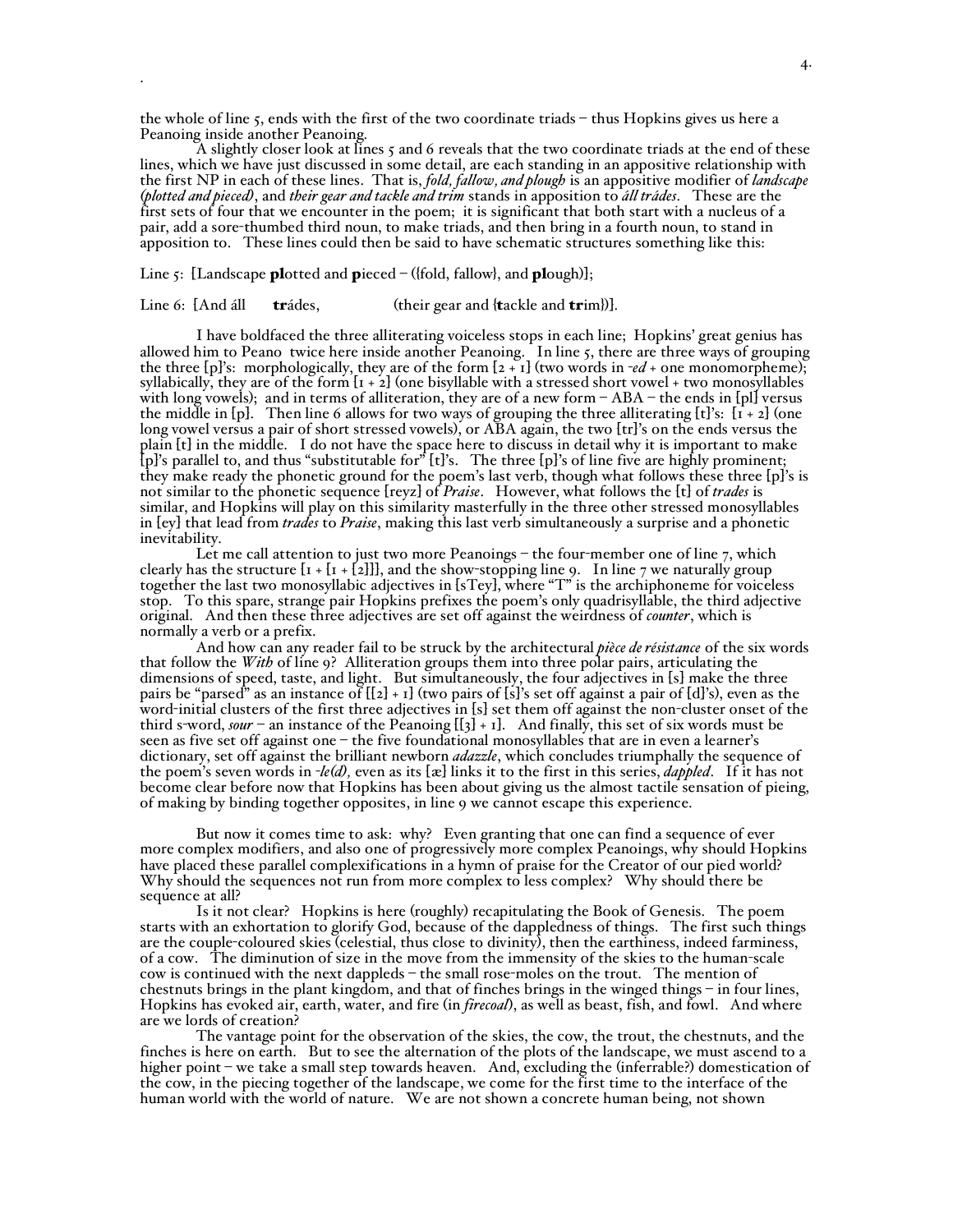the whole of line  $5$ , ends with the first of the two coordinate triads – thus Hopkins gives us here a Peanoing inside another Peanoing.

A slightly closer look at lines  $\zeta$  and 6 reveals that the two coordinate triads at the end of these lines, which we have just discussed in some detail, are each standing in an appositive relationship with the first NP in each of these lines. That is, *fold, fallow, and plough* is an appositive modifier of *landscape (plotted and pieced)*, and *their gear and tackle and trim* stands in apposition to *áll trádes*. These are the first sets of four that we encounter in the poem; it is significant that both start with a nucleus of a<br>pair, add a sore-thumbed third noun, to make triads, and then bring in a fourth noun, to stand in apposition to. These lines could then be said to have schematic structures something like this:

Line 5: [Landscape **plotted and pieced**  $-$  ({fold, fallow}, and **plough**)];

.

| Line 6: [And áll] | trádes, | (their gear and {tackle and trim}). |
|-------------------|---------|-------------------------------------|
|-------------------|---------|-------------------------------------|

I have boldfaced the three alliterating voiceless stops in each line; Hopkins' great genius has allowed him to Peano twice here inside another Peanoing. In line 5, there are three ways of grouping the three [p]'s: morphologically, they are of the form [2 + 1] (two words in -*ed* + one monomorpheme); syllabically, they are of the form  $\left[1 + 2\right]$  (one bisyllable with a stressed short vowel + two monosyllables with long vowels); and in terms of alliteration, they are of a new form - ABA - the ends in [pl] versus the middle in [p]. Then line 6 allows for two ways of grouping the three alliterating  $[t]$ 's:  $[x + 2]$  (one long vowel versus a pair of short stressed vowels), or ABA again, the two [tr]'s on the ends versus the plain [t] in the middle. I do not have the space here to discuss in detail why it is important to make [p]'s parallel to, and thus "substitutable for" [t]'s. The three [p]'s of line five are highly prominent; they make ready the phonetic ground for the poem's last verb, though what follows these three [p]'s is not similar to the phonetic sequence [reyz] of *Praise*. However, what follows the [t] of *trades* is similar, and Hopkins will play on this similarity masterfully in the three other stressed monosyllables in [ey] that lead from *trades* to *Praise*, making this last verb simultaneously a surprise and a phonetic inevitability.

Let me call attention to just two more Peanoings – the four-member one of line 7, which clearly has the structure  $\{I + \{I + \{2\}\}\}\$ , and the show-stopping line 9. In line 7 we naturally group together the last two monosyllabic adjectives in [sTey], where "T" is the archiphoneme for voiceless stop. To this spare, strange pair Hopkins prefixes the poem's only quadrisyllable, the third adjective original. And then these three adjectives are set off against the weirdness of *counter*, which is normally a verb or a prefix.

And how can any reader fail to be struck by the architectural *pièce de résistance* of the six words that follow the *With* of line 9? Alliteration groups them into three polar pairs, articulating the dimensions of speed, taste, and light. But simultaneously, the four adjectives in [s] make the three pairs be "parsed" as an instance of  $[[2]+1]$  (two pairs of [s]'s set off against a pair of [d]'s), even as the word-initial clusters of the first three adjectives in [s] set them off against the non-cluster onset of the third s-word, *sour* – an instance of the Peanoing  $[[3] + I]$ . And finally, this set of six words must be seen as five set off against one – the five foundational monosyllables that are in even a learner's dictionary, set off against the brilliant newborn *adazzle*, which concludes triumphally the sequence of the poem's seven words in -*le(d),* even as its [æ] links it to the first in this series, *dappled*. If it has not become clear before now that Hopkins has been about giving us the almost tactile sensation of pieing, of making by binding together opposites, in line 9 we cannot escape this experience.

But now it comes time to ask: why? Even granting that one can find <sup>a</sup> sequence of ever more complex modifiers, and also one of progressively more complex Peanoings, why should Hopkins have placed these parallel complexifications in a hymn of praise for the Creator of our pied world? Why should the sequences not run from more complex to less complex? Why should there be sequence at all?

Is it not clear? Hopkins is here (roughly) recapitulating the Book of Genesis. The poem starts with an exhortation to glorify God, because of the dappledness of things. The first such things are the couple-coloured skies (celestial, thus close to divinity), then the earthiness, indeed farminess, of a cow. The diminution of size in the move from the immensity of the skies to the human-scale cow is continued with the next dappleds – the small rose-moles on the trout. The mention of chestnuts brings in the plant kingdom, and that of finches brings in the winged things – in four lines, Hopkins has evoked air, earth, water, and fire (in *firecoal*), as well as beast, fish, and fowl. And where are we lords of creation?

The vantage point for the observation of the skies, the cow, the trout, the chestnuts, and the finches is here on earth. But to see the alternation of the plots of the landscape, we must ascend to a higher point – we take a small step towards heaven. And, excluding the (inferrable?) domestication of the cow, in the piecing together of the landscape, we come for the first time to the interface of the human world with the world of nature. We are not shown a concrete human being, not shown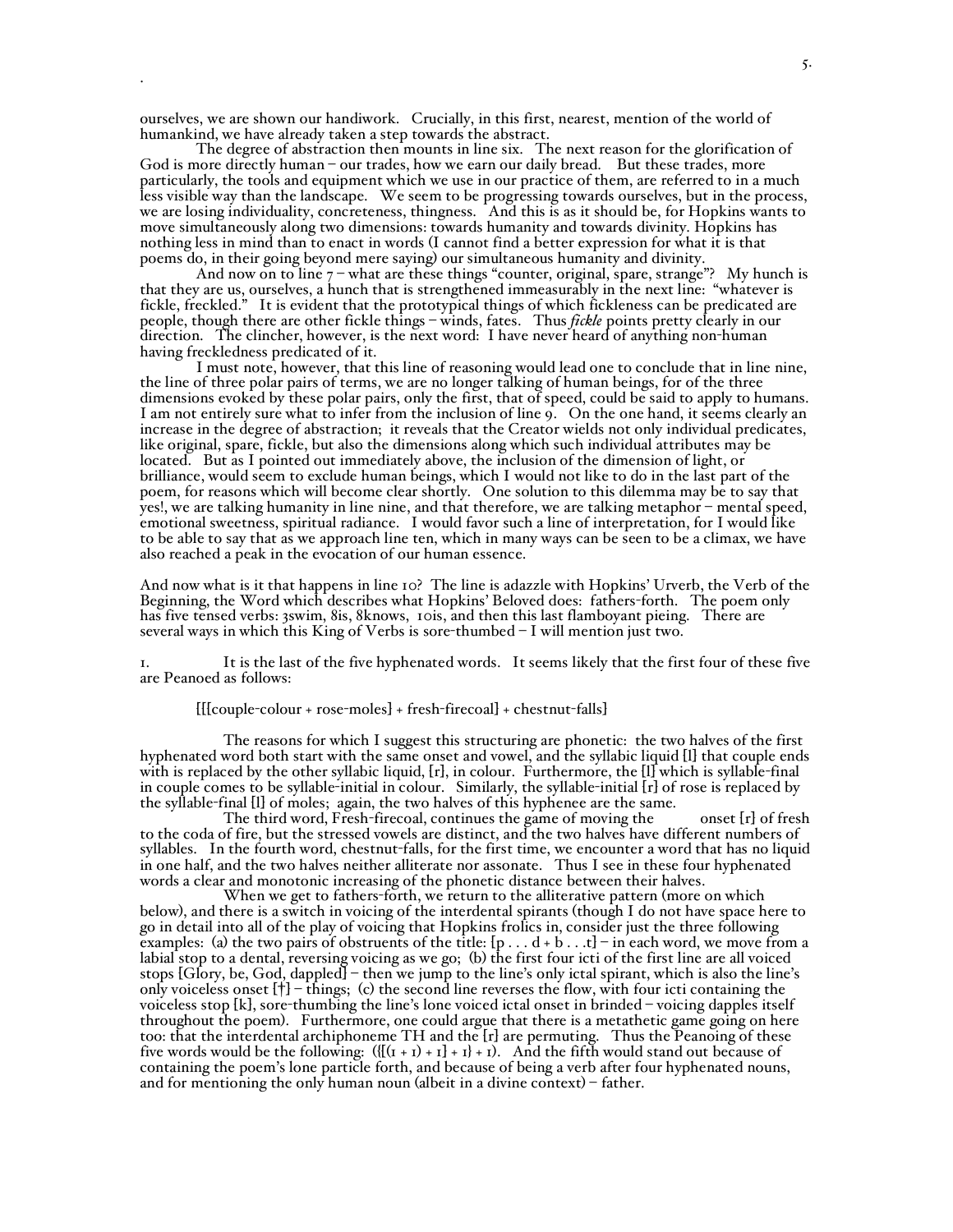ourselves, we are shown our handiwork. Crucially, in this first, nearest, mention of the world of humankind, we have already taken a step towards the abstract.

.

The degree of abstraction then mounts in line six. The next reason for the glorification of God is more directly human – our trades, how we earn our daily bread. But these trades, more particularly, the tools and equipment which we use in our practice of them, are referred to in a much less visible way than the landscape. We seem to be progressing towards ourselves, but in the process, we are losing individuality, concreteness, thingness. And this is as it should be, for Hopkins wants to move simultaneously along two dimensions: towards humanity and towards divinity. Hopkins has<br>nothing less in mind than to enact in words (I cannot find a better expression for what it is that poems do, in their going beyond mere saying) our simultaneous humanity and divinity.

And now on to line  $7$  – what are these things "counter, original, spare, strange"? My hunch is that they are us, ourselves, a hunch that is strengthened immeasurably in the next line: "whatever is fickle, freckled." It is evident that the prototypical things of which fickleness can be predicated are people, though there are other fickle things – winds, fates. Thus *fickle* points pretty clearly in our<br>direction. The clincher, however, is the next word: I have never heard of anything non-human

having freckledness predicated of it.<br>I must note, however, that this line of reasoning would lead one to conclude that in line nine, the line of three polar pairs of terms, we are no longer talking of human beings, for of the three dimensions evoked by these polar pairs, only the first, that of speed, could be said to apply to humans.<br>I am not entirely sure what to infer from the inclusion of line 9. On the one hand, it seems clearly an increase in the degree of abstraction; it reveals that the Creator wields not only individual predicates, like original, spare, fickle, but also the dimensions along which such individual attributes may be located. But as I pointed out immediately above, the inclusion of the dimension of light, or brilliance, would seem to exclude human beings, which I would not like to do in the last part of the poem, for reasons which will become clear shortly. One solution to this dilemma may be to say that yes!, we are talking humanity in line nine, and that therefore, we are talking metaphor – mental speed, emotional sweetness, spiritual radiance. I would favor such a line of interpretation, for I would like to be able to say that as we approach line ten, which in many ways can be seen to be a climax, we have also reached a peak in the evocation of our human essence.

And now what is it that happens in line 10? The line is adazzle with Hopkins' Urverb, the Verb of the Beginning, the Word which describes what Hopkins' Beloved does: fathers-forth. The poem only has five tensed verbs: 3swim, 8is, 8knows, 10is, and then this last flamboyant pieing. There are several ways in which this King of Verbs is sore-thumbed – I will mention just two.

1. It is the last of the five hyphenated words. It seems likely that the first four of these five are Peanoed as follows:

[[[couple-colour + rose-moles] + fresh-firecoal] + chestnut-falls]

The reasons for which I suggest this structuring are phonetic: the two halves of the first hyphenated word both start with the same onset and vowel, and the syllabic liquid [l] that couple ends with is replaced by the other syllabic liquid, [r], in colour. Furthermore, the [l] which is syllable-final in couple comes to be syllable-initial in colour. Similarly, the syllable-initial [r] of rose is replaced by the syllable-final [l] of moles; again, the two halves of this hyphenee are the same.

The third word, Fresh-firecoal, continues the game of moving the onset [r] of fresh to the coda of fire, but the stressed vowels are distinct, and the two halves have different numbers of syllables. In the fourth word, chestnut-falls, for the first time, we encounter a word that has no liquid in one half, and the two halves neither alliterate nor assonate. Thus I see in these four hyphenated words a clear and monotonic increasing of the phonetic distance between their halves.

When we get to fathers-forth, we return to the alliterative pattern (more on which below), and there is a switch in voicing of the interdental spirants (though I do not have space here to go in detail into all of the play of voicing that Hopkins frolics in, consider just the three following examples: (a) the two pairs of obstruents of the title:  $[p \dots d + b \dots t]$  – in each word, we move from a labial stop to a dental, reversing voicing as we go; (b) the first four icti of the first line are all voiced stops [Glory, be, God, dappled] – then we jump to the line's only ictal spirant, which is also the line's only voiceless onset [†] – things; (c) the second line reverses the flow, with four icti containing the voiceless stop [k], sore-thumbing the line's lone voiced ictal onset in brinded – voicing dapples itself throughout the poem). Furthermore, one could argue that there is a metathetic game going on here too: that the interdental archiphoneme TH and the [r] are permuting. Thus the Peanoing of these five words would be the following:  $({[(r + 1) + 1] + 1} + 1)$ . And the fifth would stand out because of containing the poem's lone particle forth, and because of being a verb after four hyphenated nouns, and for mentioning the only human noun (albeit in a divine context) – father.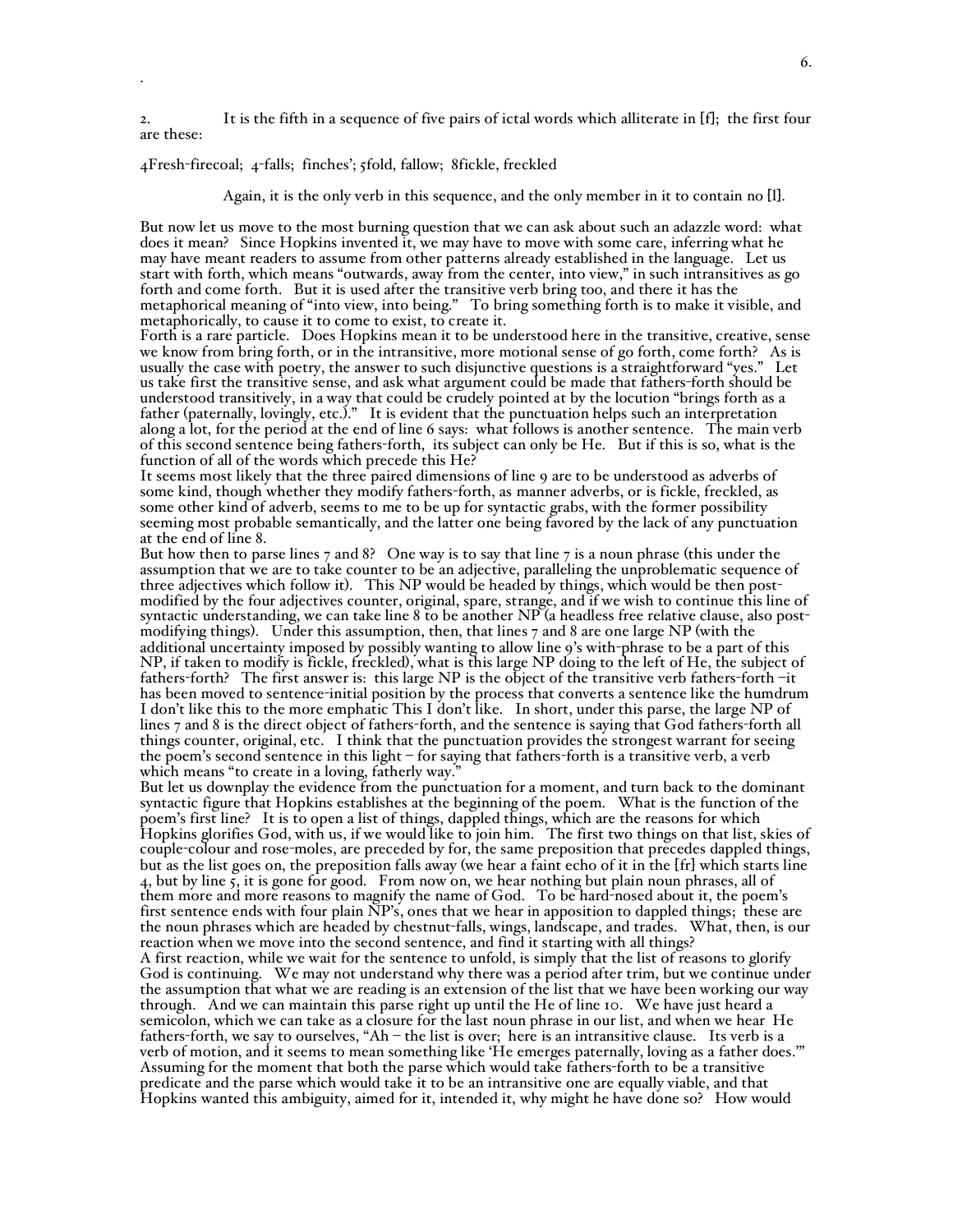2. It is the fifth in a sequence of five pairs of ictal words which alliterate in [f]; the first four are these:

4Fresh-firecoal; 4-falls; finches'; 5fold, fallow; 8fickle, freckled

.

Again, it is the only verb in this sequence, and the only member in it to contain no [l].

But now let us move to the most burning question that we can ask about such an adazzle word: what does it mean? Since Hopkins invented it, we may have to move with some care, inferring what he may have meant readers to assume from other patterns already established in the language. Let us start with forth, which means "outwards, away from the center, into view," in such intransitives as go forth and come forth. But it is used after the transitive verb bring too, and there it has the metaphorical meaning of "into view, into being." To bring something forth is to make it visible, and

metaphorically, to cause it to come to exist, to create it.<br>Forth is a rare particle. Does Hopkins mean it to be understood here in the transitive, creative, sense we know from bring forth, or in the intransitive, more motional sense of go forth, come forth? As is usually the case with poetry, the answer to such disjunctive questions is a straightforward "yes." Let us take first the transitive sense, and ask what argument could be made that fathers-forth should be understood transitively, in a way that could be crudely pointed at by the locution "brings forth as a<br>father (paternally, lovingly, etc.)." It is evident that the punctuation helps such an interpretation along a lot, for the period at the end of line 6 says: what follows is another sentence. The main verb of this second sentence being fathers-forth, its subject can only be He. But if this is so, what is the function of all of the words which precede this He?

It seems most likely that the three paired dimensions of line 9 are to be understood as adverbs of some kind, though whether they modify fathers-forth, as manner adverbs, or is fickle, freckled, as some other kind of adverb, seems to me to be up for syntactic grabs, with the former possibility seeming most probable semantically, and the latter one being favored by the lack of any punctuation at the end of line 8.

But how then to parse lines  $7$  and 8? One way is to say that line  $7$  is a noun phrase (this under the assumption that we are to take counter to be an adjective, paralleling the unproblematic sequence of three adjectives which follow it). This NP would be headed by things, which would be then postmodified by the four adjectives counter, original, spare, strange, and if we wish to continue this line of syntactic understanding, we can take line 8 to be another NP (a headless free relative clause, also postmodifying things). Under this assumption, then, that lines 7 and 8 are one large NP (with the additional uncertainty imposed by possibly wanting to allow line 9's with-phrase to be a part of this NP, if taken to modify is fickle, freckled), what is this large NP doing to the left of He, the subject of fathers-forth? The first answer is: this large NP is the object of the transitive verb fathers-forth –it has been moved to sentence-initial position by the process that converts a sentence like the humdrum I don't like this to the more emphatic This I don't like. In short, under this parse, the large NP of lines 7 and 8 is the direct object of fathers-forth, and the sentence is saying that God fathers-forth all things counter, original, etc. I think that the punctuation provides the strongest warrant for seeing the poem's second sentence in this light – for saying that fathers-forth is a transitive verb, a verb which means "to create in a loving, fatherly way."

But let us downplay the evidence from the punctuation for a moment, and turn back to the dominant syntactic figure that Hopkins establishes at the beginning of the poem. What is the function of the poem's first line? It is to open a list of things, dappled things, which are the reasons for which Hopkins glorifies God, with us, if we would like to join him. The first two things on that list, skies of couple-colour and rose-moles, are preceded by for, the same preposition that precedes dappled things, but as the list goes on, the preposition falls away (we hear a faint echo of it in the [fr] which starts line 4, but by line 5, it is gone for good. From now on, we hear nothing but plain noun phrases, all of them more and more reasons to magnify the name of God. To be hard-nosed about it, the poem's first sentence ends with four plain NP's, ones that we hear in apposition to dappled things; these are the noun phrases which are headed by chestnut-falls, wings, landscape, and trades. What, then, is our reaction when we move into the second sentence, and find it starting with all things?

A first reaction, while we wait for the sentence to unfold, is simply that the list of reasons to glorify God is continuing. We may not understand why there was a period after trim, but we continue under the assumption that what we are reading is an extension of the list that we have been working our way through. And we can maintain this parse right up until the He of line 10. We have just heard a semicolon, which we can take as a closure for the last noun phrase in our list, and when we hear He fathers-forth, we say to ourselves, "Ah – the list is over; here is an intransitive clause. Its verb is a verb of motion, and it seems to mean something like 'He emerges paternally, loving as a father does.'" Assuming for the moment that both the parse which would take fathers-forth to be a transitive predicate and the parse which would take it to be an intransitive one are equally viable, and that Hopkins wanted this ambiguity, aimed for it, intended it, why might he have done so? How would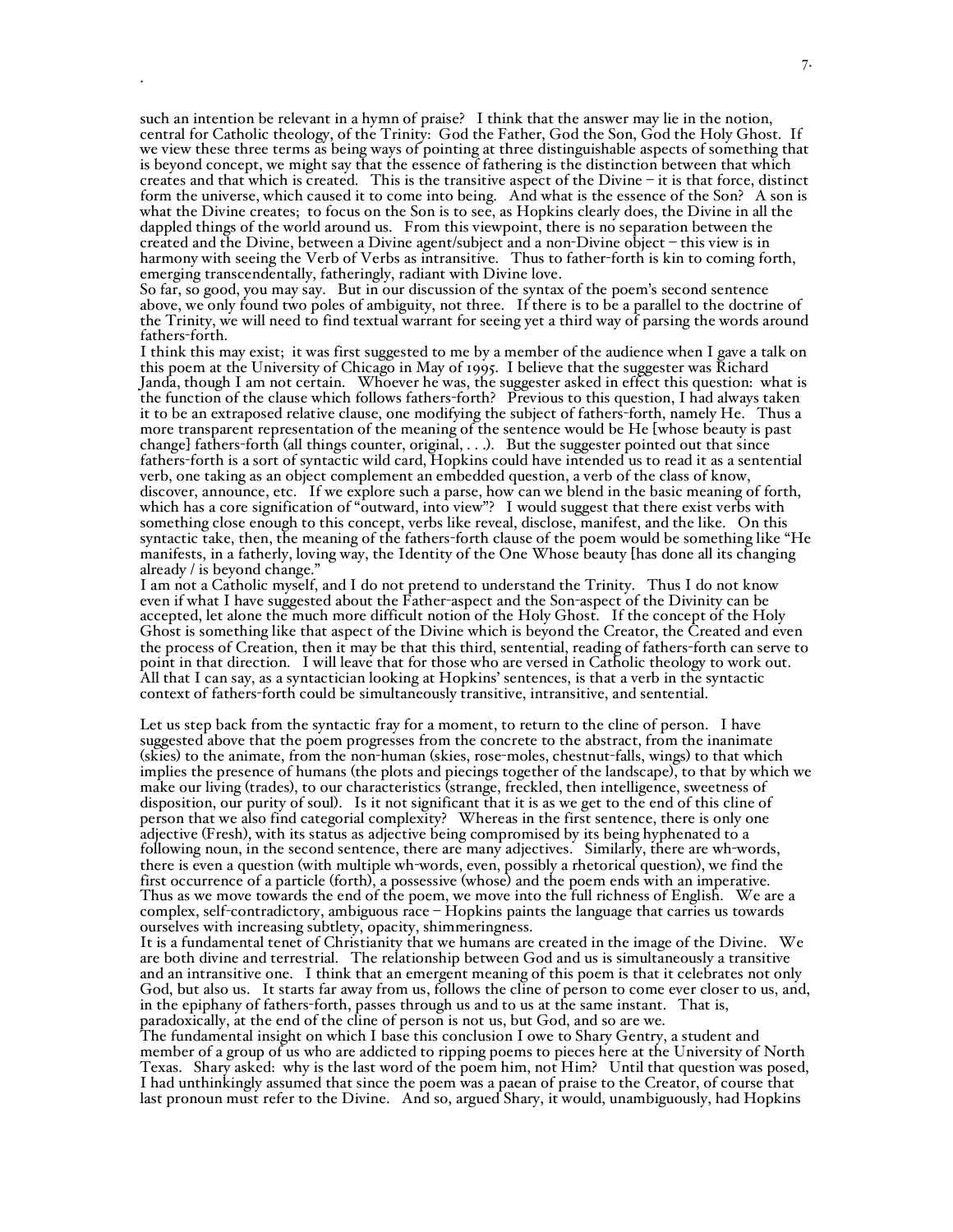such an intention be relevant in a hymn of praise? I think that the answer may lie in the notion,<br>central for Catholic theology, of the Trinity: God the Father, God the Son, God the Holy Ghost. If we view these three terms as being ways of pointing at three distinguishable aspects of something that is beyond concept, we might say that the essence of fathering is the distinction between that which creates and that which is created. This is the transitive aspect of the Divine – it is that force, distinct form the universe, which caused it to come into being. And what is the essence of the Son? A son is what the Divine creates; to focus on the Son is to see, as Hopkins clearly does, the Divine in all the dappled things of the world around us. From this viewpoint, there is no separation between the created and the Divine, between a Divine agent/subject and a non-Divine object – this view is in harmony with seeing the Verb of Verbs as intransitive. Thus to father-forth is kin to coming forth, emerging transcendentally, fatheringly, radiant with Divine love.

.

So far, so good, you may say. But in our discussion of the syntax of the poem's second sentence above, we only found two poles of ambiguity, not three. If there is to be a parallel to the doctrine of the Trinity, we will need to find textual warrant for seeing yet a third way of parsing the words around fathers-forth.

I think this may exist; it was first suggested to me by a member of the audience when I gave a talk on this poem at the University of Chicago in May of 1995. I believe that the suggester was Richard Janda, though I am not certain. Whoever he was, the suggester asked in effect this question: what is the function of the clause which follows fathers-forth? Previous to this question, I had always taken<br>it to be an extraposed relative clause, one modifying the subject of fathers-forth, namely He. Thus a more transparent representation of the meaning of the sentence would be He [whose beauty is past change] fathers-forth (all things counter, original, . . .). But the suggester pointed out that since fathers-forth is a sort of syntactic wild card, Hopkins could have intended us to read it as a sentential verb, one taking as an object complement an embedded question, a verb of the class of know, discover, announce, etc. If we explore such a parse, how can we blend in the basic meaning of forth, which has a core signification of "outward, into view"? I would suggest that there exist verbs with something close enough to this concept, verbs like reveal, disclose, manifest, and the like. On this syntactic take, then, the meaning of the fathers-forth clause of the poem would be something like "He manifests, in a fatherly, loving way, the Identity of the One Whose beauty [has done all its changing already / is beyond change."

I am not a Catholic myself, and I do not pretend to understand the Trinity. Thus I do not know even if what I have suggested about the Father-aspect and the Son-aspect of the Divinity can be accepted, let alone the much more difficult notion of the Holy Ghost. If the concept of the Holy Ghost is something like that aspect of the Divine which is beyond the Creator, the Created and even the process of Creation, then it may be that this third, sentential, reading of fathers-forth can serve to point in that direction. I will leave that for those who are versed in Catholic theology to work out. All that I can say, as a syntactician looking at Hopkins' sentences, is that a verb in the syntactic context of fathers-forth could be simultaneously transitive, intransitive, and sentential.

Let us step back from the syntactic fray for a moment, to return to the cline of person. I have suggested above that the poem progresses from the concrete to the abstract, from the inanimate (skies) to the animate, from the non-human (skies, rose-moles, chestnut-falls, wings) to that which implies the presence of humans (the plots and piecings together of the landscape), to that by which we make our living (trades), to our characteristics (strange, freckled, then intelligence, sweetness of disposition, our purity of soul). Is it not significant that it is as we get to the end of this cline of person that we also find categorial complexity? Whereas in the first sentence, there is only one adjective (Fresh), with its status as adjective being compromised by its being hyphenated to a following noun, in the second sentence, there are many adjectives. Similarly, there are wh-words, there is even a question (with multiple wh-words, even, possibly a rhetorical question), we find the first occurrence of a particle (forth), a possessive (whose) and the poem ends with an imperative. Thus as we move towards the end of the poem, we move into the full richness of English. We are a complex, self-contradictory, ambiguous race – Hopkins paints the language that carries us towards ourselves with increasing subtlety, opacity, shimmeringness.

It is a fundamental tenet of Christianity that we humans are created in the image of the Divine. We are both divine and terrestrial. The relationship between God and us is simultaneously a transitive and an intransitive one. I think that an emergent meaning of this poem is that it celebrates not only God, but also us. It starts far away from us, follows the cline of person to come ever closer to us, and, in the epiphany of fathers-forth, passes through us and to us at the same instant. That is, paradoxically, at the end of the cline of person is not us, but God, and so are we.

The fundamental insight on which I base this conclusion I owe to Shary Gentry, a student and member of a group of us who are addicted to ripping poems to pieces here at the University of North Texas. Shary asked: why is the last word of the poem him, not Him? Until that question was posed, I had unthinkingly assumed that since the poem was a paean of praise to the Creator, of course that last pronoun must refer to the Divine. And so, argued Shary, it would, unambiguously, had Hopkins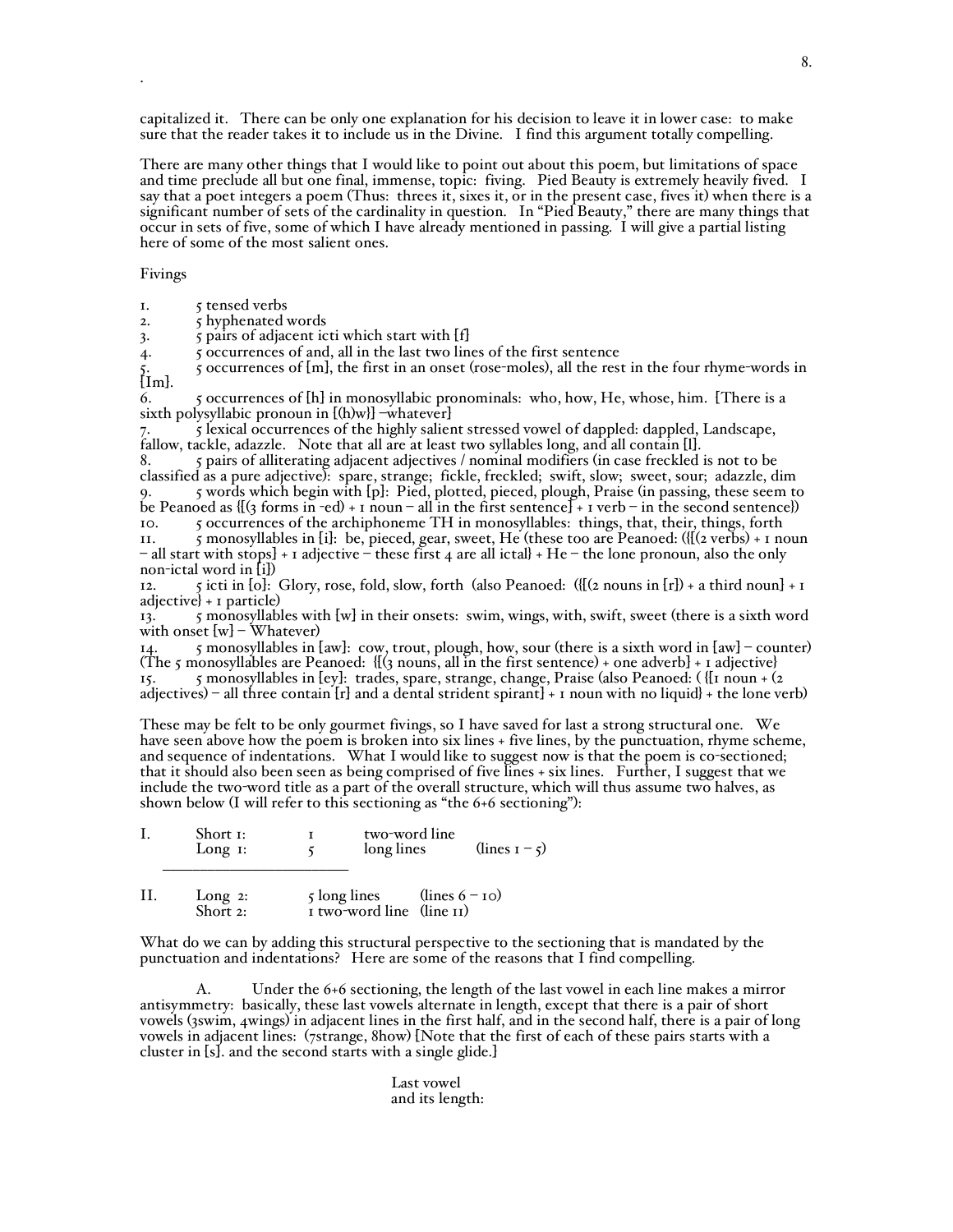capitalized it. There can be only one explanation for his decision to leave it in lower case: to make sure that the reader takes it to include us in the Divine. I find this argument totally compelling.

There are many other things that I would like to point out about this poem, but limitations of space and time preclude all but one final, immense, topic: fiving. Pied Beauty is extremely heavily fived. I say that a poet integers a poem (Thus: threes it, sixes it, or in the present case, fives it) when there is a significant number of sets of the cardinality in question. In "Pied Beauty," there are many things that occur in sets of five, some of which <sup>I</sup> have already mentioned in passing. <sup>I</sup> will give <sup>a</sup> partial listing here of some of the most salient ones.

## Fivings

.

1. 5 tensed verbs

2. 5 hyphenated words

3. 5 pairs of adjacent icti which start with [f]

4. 5 occurrences of and, all in the last two lines of the first sentence

 $\frac{5}{5}$ .  $\frac{5}{5}$  occurrences of [m], the first in an onset (rose-moles), all the rest in the four rhyme-words in [Im].

6. 5 occurrences of [h] in monosyllabic pronominals: who, how, He, whose, him. [There is a sixth polysyllabic pronoun in [(h)w}] –whatever]

7. 5 lexical occurrences of the highly salient stressed vowel of dappled: dappled, Landscape, fallow, tackle, adazzle. Note that all are at least two syllables long, and all contain [l].

8. 5 pairs of alliterating adjacent adjectives / nominal modifiers (in case freckled is not to be classified as a pure adjective): spare, strange; fickle, freckled; swift, slow; sweet, sour; adazzle, dim 9. 5 words which begin with [p]: Pied, plotted, pieced, plough, Praise (in passing, these seem to

be Peanoed as {[(3 forms in -ed) + 1 noun – all in the first sentence] + 1 verb – in the second sentence}) 10. 5 occurrences of the archiphoneme TH in monosyllables: things, that, their, things, forth

11. 5 monosyllables in [i]: be, pieced, gear, sweet, He (these too are Peanoed: ({[(2 verbs) + 1 noun  $-$  all start with stops] + 1 adjective  $-$  these first 4 are all ictal} + He – the lone pronoun, also the only non-ictal word in [i])

12. 5 icti in [o]: Glory, rose, fold, slow, forth (also Peanoed:  $([[2 \text{ nouns in } [r]) + a \text{ third noun}] + i$ adjective} + 1 particle)

13. 5 monosyllables with [w] in their onsets: swim, wings, with, swift, sweet (there is a sixth word with onset [w] – Whatever)

5 monosyllables in [aw]: cow, trout, plough, how, sour (there is a sixth word in [aw] - counter) (The 5 monosyllables are Peanoed:  $\{[(3 \text{ nouns}, \text{all in the first sentence}) + \text{one adverb}] + \text{1 adjective}\}$ 15. 5 monosyllables in [ey]: trades, spare, strange, change, Praise (also Peanoed: ( {[1 noun + (2 adjectives) – all three contain  $[r]$  and a dental strident spirant] + 1 noun with no liquid} + the lone verb)

These may be felt to be only gourmet fivings, so I have saved for last a strong structural one. We have seen above how the poem is broken into six lines + five lines, by the punctuation, rhyme scheme, and sequence of indentations. What I would like to suggest now is that the poem is co-sectioned; that it should also been seen as being comprised of five lines + six lines. Further, I suggest that we include the two-word title as a part of the overall structure, which will thus assume two halves, as shown below (I will refer to this sectioning as "the 6+6 sectioning"):

|    | Short <sub>I</sub> :<br>Long $\mathbf{r}$ : | two-word line<br>long lines                                           | $\frac{1}{\pi}$ (lines $1 - 5$ ) |
|----|---------------------------------------------|-----------------------------------------------------------------------|----------------------------------|
| H. | Long 2:<br>Short 2:                         | $5 \text{ long lines}$ (lines $6 - 10$ )<br>I two-word line (line II) |                                  |

What do we can by adding this structural perspective to the sectioning that is mandated by the punctuation and indentations? Here are some of the reasons that I find compelling.

A. Under the 6+6 sectioning, the length of the last vowel in each line makes a mirror antisymmetry: basically, these last vowels alternate in length, except that there is a pair of short vowels (3swim, 4wings) in adjacent lines in the first half, and in the second half, there is a pair of long vowels in adjacent lines: (7strange, 8how) [Note that the first of each of these pairs starts with a cluster in [s]. and the second starts with a single glide.]

> Last vowel and its length: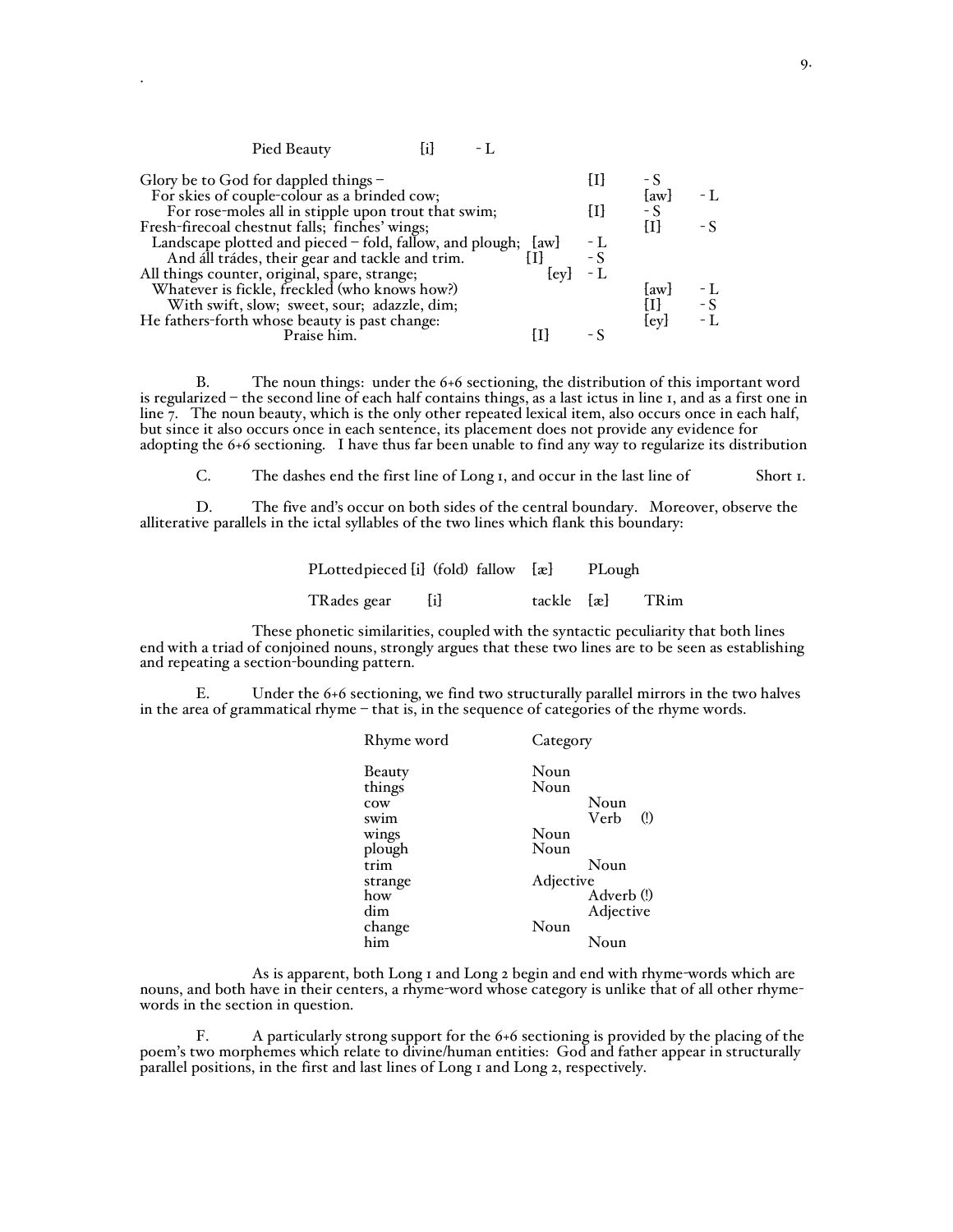| Pied Deauty                                                          |     |          |      |
|----------------------------------------------------------------------|-----|----------|------|
| Glory be to God for dappled things -                                 | Ш   | - S      |      |
| For skies of couple-colour as a brinded cow;                         |     | $\{aw\}$ | - L  |
| For rose-moles all in stipple upon trout that swim;                  | łН  | - S      |      |
| Fresh-firecoal chestnut falls; finches' wings;                       |     | Ш        | – S  |
| Landscape plotted and pieced – fold, fallow, and plough;<br>$\{aw\}$ | - L |          |      |
| And áll trádes, their gear and tackle and trim.                      | - S |          |      |
| All things counter, original, spare, strange;<br>{ev}                | - L |          |      |
| Whatever is fickle, freckled (who knows how?)                        |     | {aw      | - L  |
| With swift, slow; sweet, sour; adazzle, dim;                         |     | Πł       | $-S$ |
| He fathers-forth whose beauty is past change:                        |     | [ey]     | $-L$ |
| Praise him.                                                          | - S |          |      |
|                                                                      |     |          |      |

 $\mathbf{D}$ ied  $\mathbf{D}_{\text{current}}$  - Li  $\mathbf{E}$  - Li  $\mathbf{L}$ 

.

B. The noun things: under the 6+6 sectioning, the distribution of this important word is regularized – the second line of each half contains things, as a last ictus in line 1, and as a first one in but since it also occurs once in each sentence, its placement does not provide any evidence for adopting the 6+6 sectioning. I have thus far been unable to find any way to regularize its distribution

C. The dashes end the first line of Long 1, and occur in the last line of Short 1.

D. The five and's occur on both sides of the central boundary. Moreover, observe the alliterative parallels in the ictal syllables of the two lines which flank this boundary:

| PLottedpieced [i] (fold) fallow [æ] |         |            | PLough |      |
|-------------------------------------|---------|------------|--------|------|
| TRades gear                         | $\{i\}$ | tackle [æ] |        | TRim |

These phonetic similarities, coupled with the syntactic peculiarity that both lines end with a triad of conjoined nouns, strongly argues that these two lines are to be seen as establishing and repeating a section-bounding pattern.

E. Under the 6+6 sectioning, we find two structurally parallel mirrors in the two halves in the area of grammatical rhyme – that is, in the sequence of categories of the rhyme words.

| Rhyme word | Category                               |
|------------|----------------------------------------|
| Beauty     | Noun                                   |
| things     | Noun                                   |
| cow        | Noun                                   |
| swim       | Verb<br>$\left( \underline{I} \right)$ |
| wings      | Noun                                   |
| plough     | Noun                                   |
| trim       | Noun                                   |
| strange    | Adjective                              |
| how        | Adverb (!)                             |
| dim        | Adjective                              |
| change     | Noun                                   |
| nim        | $\mathop{\rm Noun}$                    |
|            |                                        |

As is apparent, both Long 1 and Long 2 begin and end with rhyme-words which are nouns, and both have in their centers, a rhyme-word whose category is unlike that of all other rhymewords in the section in question.

F. A particularly strong support for the 6+6 sectioning is provided by the placing of the poem's two morphemes which relate to divine/human entities: God and father appear in structurally parallel positions, in the first and last lines of Long 1 and Long 2, respectively.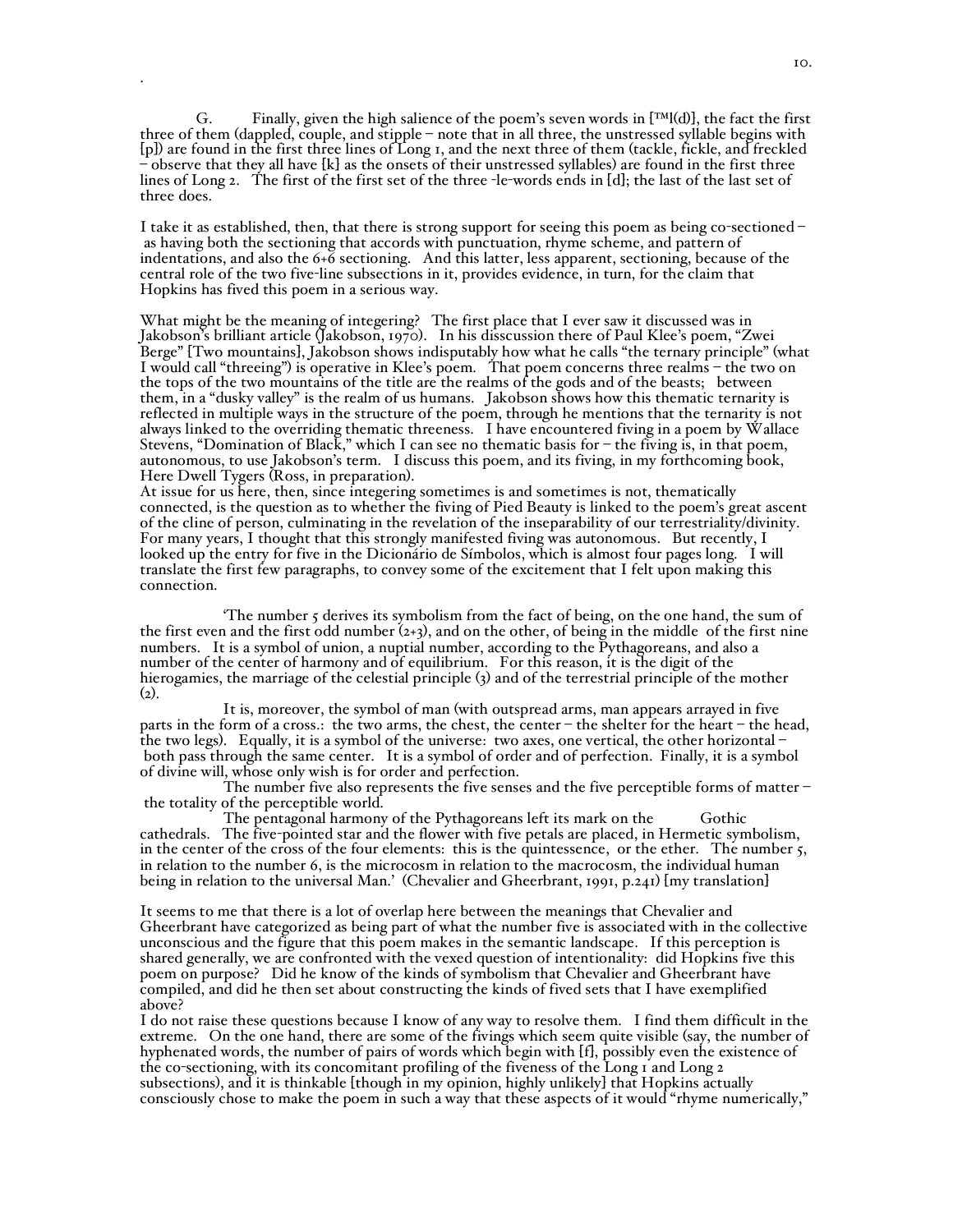G. Finally, given the high salience of the poem's seven words in [™l(d)], the fact the first three of them (dappled, couple, and stipple – note that in all three, the unstressed syllable begins with [p]) are found in the first three lines of Long 1, and the next three of them (tackle, fickle, and freckled – observe that they all have [k] as the onsets of their unstressed syllables) are found in the first three lines of Long 2. The first of the first set of the three -le-words ends in [d]; the last of the last set of three does.

.

<sup>I</sup> take it as established, then, that there is strong support for seeing this poem as being co-sectioned – as having both the sectioning that accords with punctuation, rhyme scheme, and pattern of indentations, and also the 6+6 sectioning. And this latter, less apparent, sectioning, because of the central role of the two five-line subsections in it, provides evidence, in turn, for the claim that Hopkins has fived this poem in a serious way.

What might be the meaning of integering? The first place that <sup>I</sup> ever saw it discussed was in Jakobson'<sup>s</sup> brilliant article (Jakobson, <sup>1970</sup>). In his disscussion there of Paul Klee'<sup>s</sup> poem, "Zwei Berge" [Two mountains], Jakobson shows indisputably how what he calls "the ternary principle" (what<br>I would call "threeing") is operative in Klee's poem. That poem concerns three realms – the two on the tops of the two mountains of the title are the realms of the gods and of the beasts; between them, in a "dusky valley" is the realm of us humans. Jakobson shows how this thematic ternarity is reflected in multiple ways in the structure of the poem, through he mentions that the ternarity is not always linked to the overriding thematic threeness. I have encountered fiving in a poem by Wallace Stevens, "Domination of Black," which I can see no thematic basis for – the fiving is, in that poem, autonomous, to use Jakobson's term. I discuss this poem, and its fiving, in my forthcoming book, Here Dwell Tygers (Ross, in preparation).

At issue for us here, then, since integering sometimes is and sometimes is not, thematically connected, is the question as to whether the fiving of Pied Beauty is linked to the poem's great ascent of the cline of person, culminating in the revelation of the inseparability of our terrestriality/divinity. For many years, I thought that this strongly manifested fiving was autonomous. But recently, I looked up the entry for five in the Dicionário de Símbolos, which is almost four pages long. I will translate the first few paragraphs, to convey some of the excitement that I felt upon making this connection.

The number  $5$  derives its symbolism from the fact of being, on the one hand, the sum of the first even and the first odd number  $(2+3)$ , and on the other, of being in the middle of the first nine numbers. It is a symbol of union, a nuptial number, according to the Pythagoreans, and also a number of the center of harmony and of equilibrium. For this reason, it is the digit of the hierogamies, the marriage of the celestial principle (3) and of the terrestrial principle of the mother  $(2).$ 

It is, moreover, the symbol of man (with outspread arms, man appears arrayed in five parts in the form of a cross.: the two arms, the chest, the center – the shelter for the heart – the head, the two legs). Equally, it is a symbol of the universe: two axes, one vertical, the other horizontal – both pass through the same center. It is a symbol of order and of perfection. Finally, it is a symbol of divine will, whose only wish is for order and perfection.

The number five also represents the five senses and the five perceptible forms of matter – the totality of the perceptible world.

The pentagonal harmony of the Pythagoreans left its mark on the Gothic cathedrals. The five-pointed star and the flower with five petals are placed, in Hermetic symbolism, in the center of the cross of the four elements: this is the quintessence, or the ether. The number 5, in relation to the number 6, is the microcosm in relation to the macrocosm, the individual human being in relation to the universal Man.' (Chevalier and Gheerbrant, 1991, p.241) [my translation]

It seems to me that there is a lot of overlap here between the meanings that Chevalier and Gheerbrant have categorized as being part of what the number five is associated with in the collective unconscious and the figure that this poem makes in the semantic landscape. If this perception is shared generally, we are confronted with the vexed question of intentionality: did Hopkins five this poem on purpose? Did he know of the kinds of symbolism that Chevalier and Gheerbrant have compiled, and did he then set about constructing the kinds of fived sets that I have exemplified above?

I do not raise these questions because I know of any way to resolve them. I find them difficult in the extreme. On the one hand, there are some of the fivings which seem quite visible (say, the number of hyphenated words, the number of pairs of words which begin with [f], possibly even the existence of the co-sectioning, with its concomitant profiling of the fiveness of the Long 1 and Long 2 subsections), and it is thinkable [though in my opinion, highly unlikely] that Hopkins actually consciously chose to make the poem in such a way that these aspects of it would "rhyme numerically,"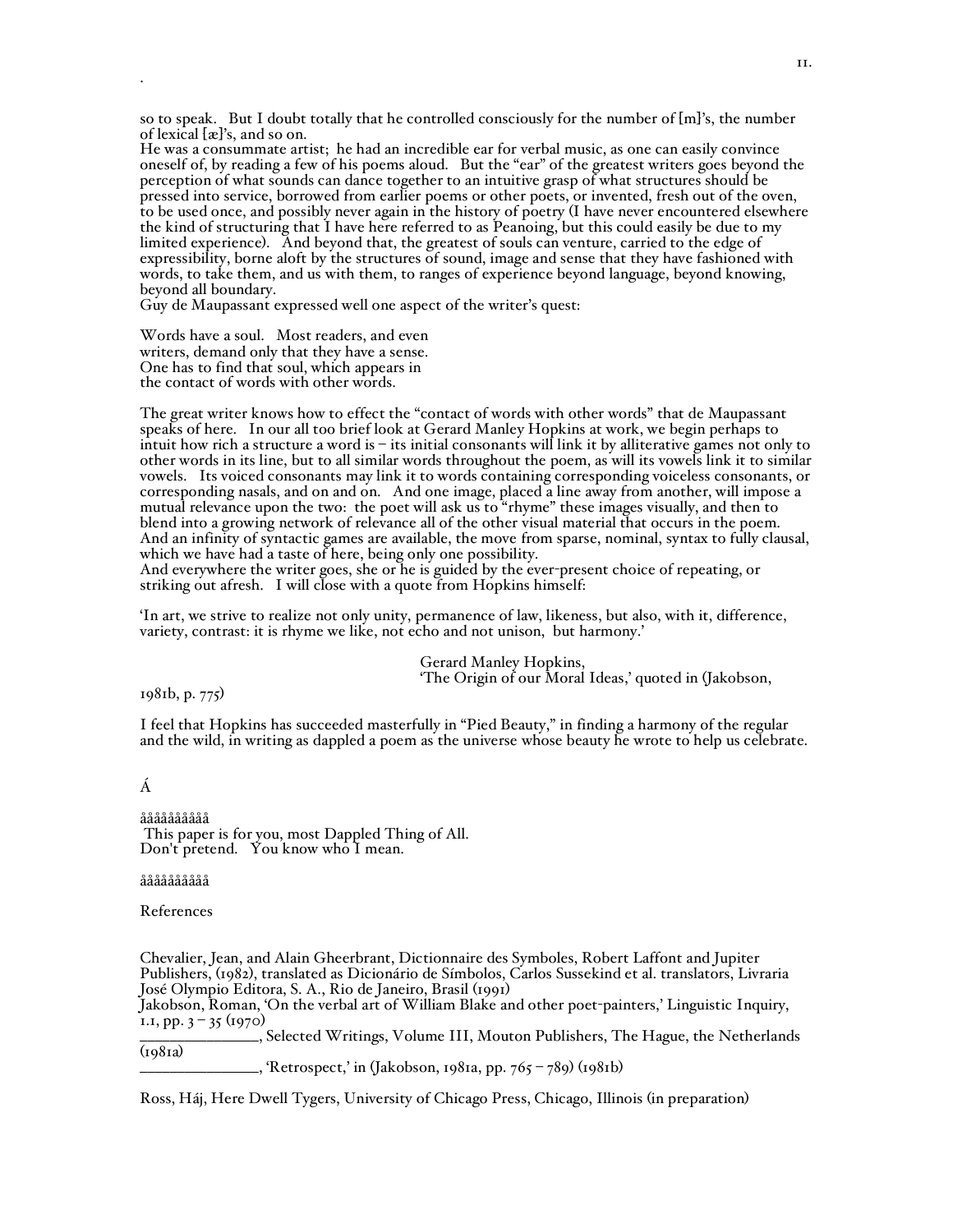so to speak. But I doubt totally that he controlled consciously for the number of  $[m]'s$ , the number of lexical  $\{x\}'s$ , and so on.

He was a consummate artist; he had an incredible ear for verbal music, as one can easily convince oneself of, by reading a few of his poems aloud. But the "ear" of the greatest writers goes beyond the perception of what sounds can dance together to an intuitive grasp of what structures should be pressed into service, borrowed from earlier poems or other poets, or invented, fresh out of the oven, to be used once, and possibly never again in the history of poetry (I have never encountered elsewhere the kind of structuring that I have here referred to as Peanoing, but this could easily be due to my limited experience). And beyond that, the greatest of souls can venture, carried to the edge of expressibility, borne aloft by the structures of sound, image and sense that they have fashioned with words, to take them, and us with them, to ranges of experience beyond language, beyond knowing, beyond all boundary.

Guy de Maupassant expressed well one aspect of the writer's quest:

Words have a soul. Most readers, and even writers, demand only that they have a sense.<br>One has to find that soul, which appears in the contact of words with other words.

The great writer knows how to effect the "contact of words with other words" that de Maupassant speaks of here. In our all too brief look at Gerard Manley Hopkins at work, we begin perhaps to intuit how rich a structure a word is – its initial consonants will link it by alliterative games not only to other words in its line, but to all similar words throughout the poem, as will its vowels link it to similar vowels. Its voiced consonants may link it to words containing corresponding voiceless consonants, or corresponding nasals, and on and on. And one image, placed a line away from another, will impose a mutual relevance upon the two: the poet will ask us to "rhyme" these images visually, and then to blend into a growing network of relevance all of the other visual material that occurs in the poem. And an infinity of syntactic games are available, the move from sparse, nominal, syntax to fully clausal, which we have had a taste of here, being only one possibility.

And everywhere the writer goes, she or he is guided by the ever-present choice of repeating, or striking out afresh. I will close with a quote from Hopkins himself:

'In art, we strive to realize not only unity, permanence of law, likeness, but also, with it, difference, variety, contrast: it is rhyme we like, not echo and not unison, but harmony.'

> Gerard Manley Hopkins, 'The Origin of our Moral Ideas,' quoted in (Jakobson,

1981b, p. 775)

I feel that Hopkins has succeeded masterfully in "Pied Beauty," in finding a harmony of the regular and the wild, in writing as dappled a poem as the universe whose beauty he wrote to help us celebrate.

Á

.

åååååååååå This paper is for you, most Dappled Thing of All. Don'<sup>t</sup> pretend. You know who <sup>I</sup> mean.

åååååååååå

References

Chevalier, Jean, and Alain Gheerbrant, Dictionnaire des Symboles, Robert Laffont and Jupiter Publishers, (1982), translated as Dicionário de Símbolos, Carlos Sussekind et al. translators, Livraria José Olympio Editora, S. A., Rio de Janeiro, Brasil (1991)

Jakobson, Roman, 'On the verbal art of William Blake and other poet-painters,' Linguistic Inquiry, 1.1, pp.  $3 - 35$  (1970)

\_\_\_\_\_\_\_\_\_\_\_\_\_\_\_\_, Selected Writings, Volume III, Mouton Publishers, The Hague, the Netherlands  $(1981a)$ 

\_\_\_\_\_\_\_\_\_\_\_\_\_\_\_\_, 'Retrospect,' in (Jakobson, 1981a, pp. 765 – 789) (1981b)

Ross, Háj, Here Dwell Tygers, University of Chicago Press, Chicago, Illinois (in preparation)